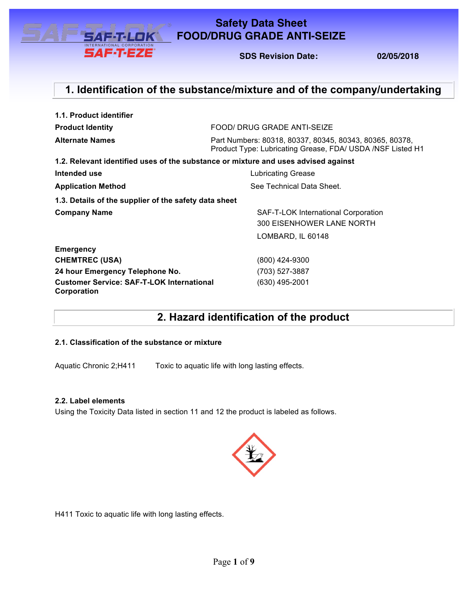

## **FOOD/DRUG GRADE ANTI-SEIZE Safety Data Sheet**

**FOOD/ DRUG GRADE ANTI-SEIZE SDS Revision Date: 02/05/2018**

## **1. Identification of the substance/mixture and of the company/undertaking**

| 1.1. Product identifier                                         |                                                                                                                        |  |  |  |
|-----------------------------------------------------------------|------------------------------------------------------------------------------------------------------------------------|--|--|--|
| <b>Product Identity</b>                                         | FOOD/ DRUG GRADE ANTI-SEIZE                                                                                            |  |  |  |
| <b>Alternate Names</b>                                          | Part Numbers: 80318, 80337, 80345, 80343, 80365, 80378,<br>Product Type: Lubricating Grease, FDA/ USDA / NSF Listed H1 |  |  |  |
|                                                                 | 1.2. Relevant identified uses of the substance or mixture and uses advised against                                     |  |  |  |
| Intended use                                                    | <b>Lubricating Grease</b>                                                                                              |  |  |  |
| <b>Application Method</b>                                       | See Technical Data Sheet.                                                                                              |  |  |  |
| 1.3. Details of the supplier of the safety data sheet           |                                                                                                                        |  |  |  |
| <b>Company Name</b>                                             | SAF-T-LOK International Corporation                                                                                    |  |  |  |
|                                                                 | 300 EISENHOWER LANE NORTH                                                                                              |  |  |  |
|                                                                 | LOMBARD, IL 60148                                                                                                      |  |  |  |
| <b>Emergency</b>                                                |                                                                                                                        |  |  |  |
| <b>CHEMTREC (USA)</b>                                           | (800) 424-9300                                                                                                         |  |  |  |
| 24 hour Emergency Telephone No.                                 | (703) 527-3887                                                                                                         |  |  |  |
| <b>Customer Service: SAF-T-LOK International</b><br>Corporation | (630) 495-2001                                                                                                         |  |  |  |

**2. Hazard identification of the product**

### **2.1. Classification of the substance or mixture**

Aquatic Chronic 2;H411 Toxic to aquatic life with long lasting effects.

### **2.2. Label elements**

Using the Toxicity Data listed in section 11 and 12 the product is labeled as follows.



H411 Toxic to aquatic life with long lasting effects.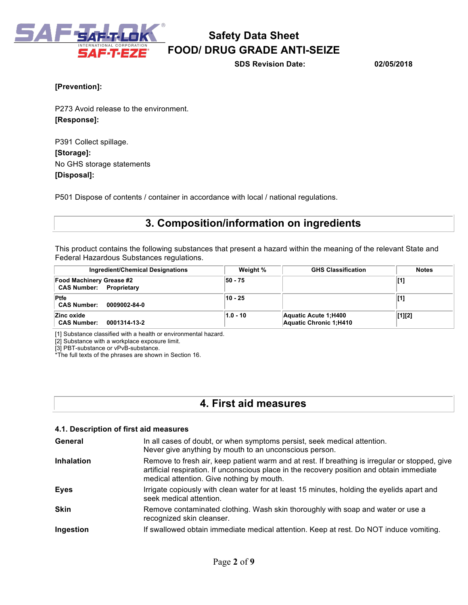

**SDS Revision Date: 02/05/2018**

### **[Prevention]:**

P273 Avoid release to the environment. **[Response]:** 

P391 Collect spillage. **[Storage]:**  No GHS storage statements **[Disposal]:** 

P501 Dispose of contents / container in accordance with local / national regulations.

## **3. Composition/information on ingredients**

This product contains the following substances that present a hazard within the meaning of the relevant State and Federal Hazardous Substances regulations.

| Ingredient/Chemical Designations                                  | Weight %   | <b>GHS Classification</b>                       | <b>Notes</b> |
|-------------------------------------------------------------------|------------|-------------------------------------------------|--------------|
| <b>Food Machinery Grease #2</b><br><b>CAS Number: Proprietary</b> | 50 - 75    |                                                 | [1]          |
| <b>Ptfe</b><br><b>CAS Number:</b><br>0009002-84-0                 | 10 - 25    |                                                 | [1]          |
| Zinc oxide<br><b>CAS Number:</b><br>0001314-13-2                  | $1.0 - 10$ | Aquatic Acute 1; H400<br>Aquatic Chronic 1:H410 | [1][2]       |

[1] Substance classified with a health or environmental hazard.

[2] Substance with a workplace exposure limit.

[3] PBT-substance or vPvB-substance.

\*The full texts of the phrases are shown in Section 16.

## **4. First aid measures**

### **4.1. Description of first aid measures**

| General           | In all cases of doubt, or when symptoms persist, seek medical attention.<br>Never give anything by mouth to an unconscious person.                                                                                                        |
|-------------------|-------------------------------------------------------------------------------------------------------------------------------------------------------------------------------------------------------------------------------------------|
| <b>Inhalation</b> | Remove to fresh air, keep patient warm and at rest. If breathing is irregular or stopped, give<br>artificial respiration. If unconscious place in the recovery position and obtain immediate<br>medical attention. Give nothing by mouth. |
| <b>Eyes</b>       | Irrigate copiously with clean water for at least 15 minutes, holding the eyelids apart and<br>seek medical attention.                                                                                                                     |
| <b>Skin</b>       | Remove contaminated clothing. Wash skin thoroughly with soap and water or use a<br>recognized skin cleanser.                                                                                                                              |
| Ingestion         | If swallowed obtain immediate medical attention. Keep at rest. Do NOT induce vomiting.                                                                                                                                                    |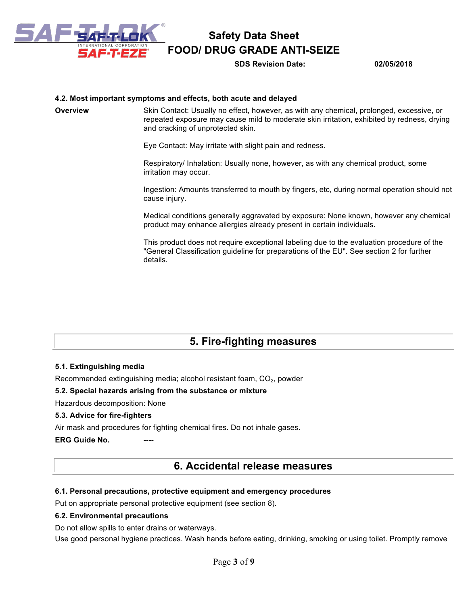

**SDS Revision Date: 02/05/2018**

### **4.2. Most important symptoms and effects, both acute and delayed**

**Overview Skin Contact: Usually no effect, however, as with any chemical, prolonged, excessive, or** repeated exposure may cause mild to moderate skin irritation, exhibited by redness, drying and cracking of unprotected skin.

Eye Contact: May irritate with slight pain and redness.

Respiratory/ Inhalation: Usually none, however, as with any chemical product, some irritation may occur.

Ingestion: Amounts transferred to mouth by fingers, etc, during normal operation should not cause injury.

Medical conditions generally aggravated by exposure: None known, however any chemical product may enhance allergies already present in certain individuals.

This product does not require exceptional labeling due to the evaluation procedure of the "General Classification guideline for preparations of the EU". See section 2 for further details.

# **5. Fire-fighting measures**

### **5.1. Extinguishing media**

Recommended extinguishing media; alcohol resistant foam,  $CO<sub>2</sub>$ , powder

### **5.2. Special hazards arising from the substance or mixture**

Hazardous decomposition: None

### **5.3. Advice for fire-fighters**

Air mask and procedures for fighting chemical fires. Do not inhale gases.

**ERG Guide No.** 

## **6. Accidental release measures**

### **6.1. Personal precautions, protective equipment and emergency procedures**

Put on appropriate personal protective equipment (see section 8).

### **6.2. Environmental precautions**

Do not allow spills to enter drains or waterways.

Use good personal hygiene practices. Wash hands before eating, drinking, smoking or using toilet. Promptly remove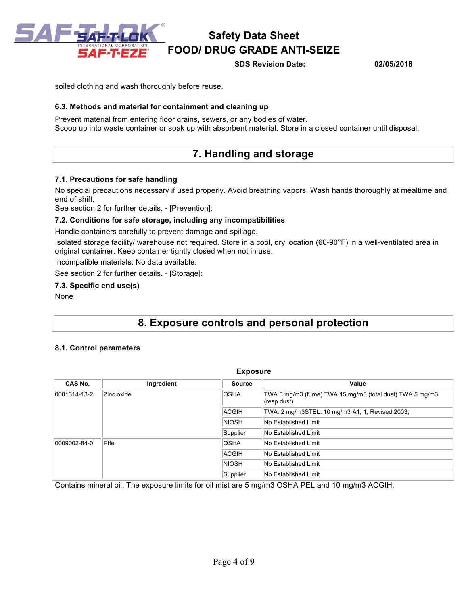

**SDS Revision Date: 02/05/2018**

soiled clothing and wash thoroughly before reuse.

### **6.3. Methods and material for containment and cleaning up**

Prevent material from entering floor drains, sewers, or any bodies of water. Scoop up into waste container or soak up with absorbent material. Store in a closed container until disposal.

## **7. Handling and storage**

### **7.1. Precautions for safe handling**

No special precautions necessary if used properly. Avoid breathing vapors. Wash hands thoroughly at mealtime and end of shift.

See section 2 for further details. - [Prevention]:

### **7.2. Conditions for safe storage, including any incompatibilities**

Handle containers carefully to prevent damage and spillage.

Isolated storage facility/ warehouse not required. Store in a cool, dry location (60-90°F) in a well-ventilated area in original container. Keep container tightly closed when not in use.

Incompatible materials: No data available.

See section 2 for further details. - [Storage]:

#### **7.3. Specific end use(s)**

None

## **8. Exposure controls and personal protection**

### **8.1. Control parameters**

| <b>Exposure</b>            |            |               |                                                                         |  |
|----------------------------|------------|---------------|-------------------------------------------------------------------------|--|
| CAS No.                    | Ingredient | <b>Source</b> | Value                                                                   |  |
| 0001314-13-2<br>Zinc oxide |            | <b>OSHA</b>   | TWA 5 mg/m3 (fume) TWA 15 mg/m3 (total dust) TWA 5 mg/m3<br>(resp dust) |  |
|                            |            | ACGIH         | TWA: 2 mg/m3STEL: 10 mg/m3 A1, 1, Revised 2003,                         |  |
|                            |            | <b>NIOSH</b>  | No Established Limit                                                    |  |
|                            |            | Supplier      | No Established Limit                                                    |  |
| 0009002-84-0               | $P$ tfe    | <b>OSHA</b>   | No Established Limit                                                    |  |
|                            |            | ACGIH         | No Established Limit                                                    |  |
|                            |            | <b>NIOSH</b>  | No Established Limit                                                    |  |
|                            |            | Supplier      | No Established Limit                                                    |  |

Contains mineral oil. The exposure limits for oil mist are 5 mg/m3 OSHA PEL and 10 mg/m3 ACGIH.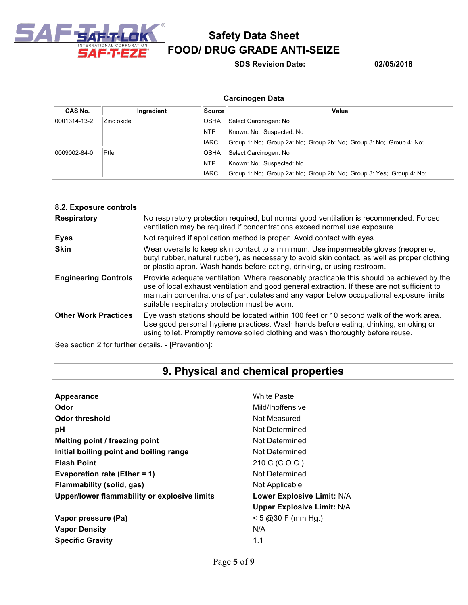

**SDS Revision Date: 02/05/2018**

## **Carcinogen Data**

| CAS No.      | Ingredient | Source                                 | Value                                                               |
|--------------|------------|----------------------------------------|---------------------------------------------------------------------|
| 0001314-13-2 | Zinc oxide | <b>OSHA</b>                            | Select Carcinogen: No                                               |
|              |            | <b>NTP</b>                             | Known: No: Suspected: No                                            |
|              |            | IARC                                   | Group 1: No: Group 2a: No: Group 2b: No: Group 3: No: Group 4: No:  |
| 0009002-84-0 | $P$ tfe    | <b>OSHA</b>                            | Select Carcinogen: No                                               |
|              |            | <b>NTP</b><br>Known: No: Suspected: No |                                                                     |
|              |            | <b>IARC</b>                            | Group 1: No: Group 2a: No: Group 2b: No: Group 3: Yes: Group 4: No: |

| 8.2. Exposure controls      |                                                                                                                                                                                                                                                                                                                                        |
|-----------------------------|----------------------------------------------------------------------------------------------------------------------------------------------------------------------------------------------------------------------------------------------------------------------------------------------------------------------------------------|
| <b>Respiratory</b>          | No respiratory protection required, but normal good ventilation is recommended. Forced<br>ventilation may be required if concentrations exceed normal use exposure.                                                                                                                                                                    |
| <b>Eyes</b>                 | Not required if application method is proper. Avoid contact with eyes.                                                                                                                                                                                                                                                                 |
| <b>Skin</b>                 | Wear overalls to keep skin contact to a minimum. Use impermeable gloves (neoprene,<br>butyl rubber, natural rubber), as necessary to avoid skin contact, as well as proper clothing<br>or plastic apron. Wash hands before eating, drinking, or using restroom.                                                                        |
| <b>Engineering Controls</b> | Provide adequate ventilation. Where reasonably practicable this should be achieved by the<br>use of local exhaust ventilation and good general extraction. If these are not sufficient to<br>maintain concentrations of particulates and any vapor below occupational exposure limits<br>suitable respiratory protection must be worn. |
| <b>Other Work Practices</b> | Eye wash stations should be located within 100 feet or 10 second walk of the work area.<br>Use good personal hygiene practices. Wash hands before eating, drinking, smoking or<br>using toilet. Promptly remove soiled clothing and wash thoroughly before reuse.                                                                      |

See section 2 for further details. - [Prevention]:

# **9. Physical and chemical properties**

| Appearance                                   | <b>White Paste</b>                |
|----------------------------------------------|-----------------------------------|
| Odor                                         | Mild/Inoffensive                  |
| Odor threshold                               | Not Measured                      |
| рH                                           | Not Determined                    |
| Melting point / freezing point               | Not Determined                    |
| Initial boiling point and boiling range      | Not Determined                    |
| <b>Flash Point</b>                           | 210 C (C.O.C.)                    |
| Evaporation rate (Ether = 1)                 | Not Determined                    |
| Flammability (solid, gas)                    | Not Applicable                    |
| Upper/lower flammability or explosive limits | Lower Explosive Limit: N/A        |
|                                              | <b>Upper Explosive Limit: N/A</b> |
| Vapor pressure (Pa)                          | $< 5$ @ 30 F (mm Hg.)             |
| <b>Vapor Density</b>                         | N/A                               |
| <b>Specific Gravity</b>                      | 1.1                               |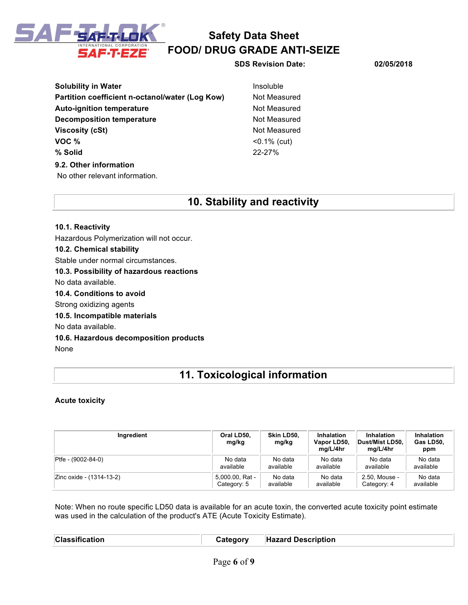

**SDS Revision Date: 02/05/2018**

**Solubility in Water Insoluble Insoluble Partition coefficient n-octanol/water (Log Kow)** Not Measured Auto-ignition temperature **Not Measured** Not Measured **Decomposition temperature** Not Measured **Viscosity (cSt)** Not Measured **VOC %** <0.1% (cut) **% Solid** 22-27% **9.2. Other information** No other relevant information.

## **10. Stability and reactivity**

**10.1. Reactivity** Hazardous Polymerization will not occur. **10.2. Chemical stability** Stable under normal circumstances. **10.3. Possibility of hazardous reactions** No data available. **10.4. Conditions to avoid** Strong oxidizing agents **10.5. Incompatible materials** No data available. **10.6. Hazardous decomposition products** None

# **11. Toxicological information**

### **Acute toxicity**

| Ingredient               | Oral LD50,<br>mg/kg | Skin LD50,<br>mg/kg | Inhalation<br>Vapor LD50,<br>mg/L/4hr | <b>Inhalation</b><br><b>Dust/Mist LD50.</b><br>mg/L/4hr | Inhalation<br>Gas LD50,<br>ppm |
|--------------------------|---------------------|---------------------|---------------------------------------|---------------------------------------------------------|--------------------------------|
| Ptfe - (9002-84-0)       | No data             | No data             | No data                               | No data                                                 | No data                        |
|                          | available           | available           | available                             | available                                               | available                      |
| Zinc oxide - (1314-13-2) | 5,000.00, Rat -     | No data             | No data                               | 2.50, Mouse -                                           | No data                        |
|                          | Category: 5         | available           | available                             | Category: 4                                             | available                      |

Note: When no route specific LD50 data is available for an acute toxin, the converted acute toxicity point estimate was used in the calculation of the product's ATE (Acute Toxicity Estimate).

| <b>Classification</b> | atenory | <b>Hazard Description</b> |
|-----------------------|---------|---------------------------|
|                       |         |                           |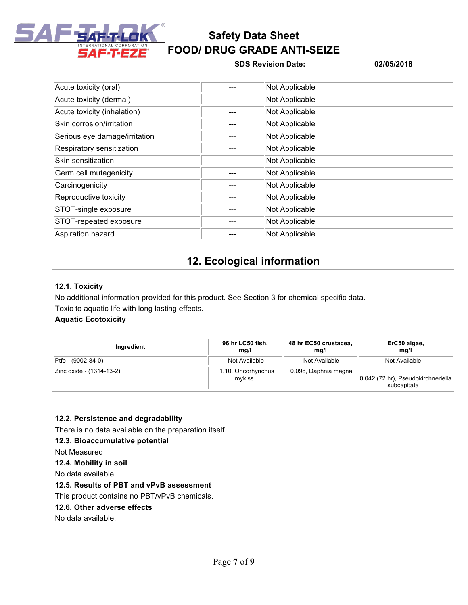

### **SDS Revision Date: 02/05/2018**

| Acute toxicity (oral)         | Not Applicable |
|-------------------------------|----------------|
| Acute toxicity (dermal)       | Not Applicable |
| Acute toxicity (inhalation)   | Not Applicable |
| Skin corrosion/irritation     | Not Applicable |
| Serious eye damage/irritation | Not Applicable |
| Respiratory sensitization     | Not Applicable |
| Skin sensitization            | Not Applicable |
| Germ cell mutagenicity        | Not Applicable |
| Carcinogenicity               | Not Applicable |
| Reproductive toxicity         | Not Applicable |
| STOT-single exposure          | Not Applicable |
| STOT-repeated exposure        | Not Applicable |
| Aspiration hazard             | Not Applicable |

## **12. Ecological information**

### **12.1. Toxicity**

No additional information provided for this product. See Section 3 for chemical specific data. Toxic to aquatic life with long lasting effects.

### **Aquatic Ecotoxicity**

| Ingredient               | 96 hr LC50 fish,<br>mq/l     | 48 hr EC50 crustacea,<br>mq/l | ErC50 algae,<br>mg/l                              |
|--------------------------|------------------------------|-------------------------------|---------------------------------------------------|
| Ptfe - (9002-84-0)       | Not Available                | Not Available                 | Not Available                                     |
| Zinc oxide - (1314-13-2) | 1.10, Oncorhynchus<br>mvkiss | 0.098, Daphnia magna          | 0.042 (72 hr), Pseudokirchneriella<br>subcapitata |

## **12.2. Persistence and degradability**

There is no data available on the preparation itself.

### **12.3. Bioaccumulative potential**

Not Measured

### **12.4. Mobility in soil**

No data available.

### **12.5. Results of PBT and vPvB assessment**

This product contains no PBT/vPvB chemicals.

### **12.6. Other adverse effects**

No data available.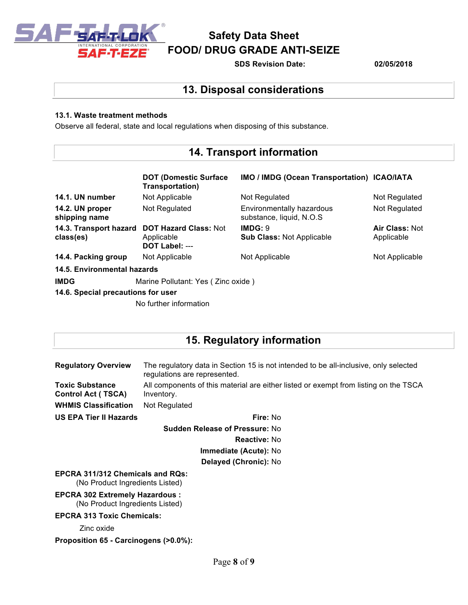

**SDS Revision Date: 02/05/2018**

## **13. Disposal considerations**

### **13.1. Waste treatment methods**

Observe all federal, state and local regulations when disposing of this substance.

# **14. Transport information**

|                                    | <b>DOT (Domestic Surface)</b><br>Transportation)                             | IMO / IMDG (Ocean Transportation) ICAO/IATA            |                              |
|------------------------------------|------------------------------------------------------------------------------|--------------------------------------------------------|------------------------------|
| 14.1. UN number                    | Not Applicable                                                               | Not Regulated                                          | Not Regulated                |
| 14.2. UN proper<br>shipping name   | Not Regulated                                                                | Environmentally hazardous<br>substance, liquid, N.O.S. | Not Regulated                |
| class(es)                          | 14.3. Transport hazard DOT Hazard Class: Not<br>Applicable<br>DOT Label: --- | IMDG: 9<br><b>Sub Class: Not Applicable</b>            | Air Class: Not<br>Applicable |
| 14.4. Packing group                | Not Applicable                                                               | Not Applicable                                         | Not Applicable               |
| 14.5. Environmental hazards        |                                                                              |                                                        |                              |
| <b>IMDG</b>                        | Marine Pollutant: Yes (Zinc oxide)                                           |                                                        |                              |
| 14.6. Special precautions for user |                                                                              |                                                        |                              |
|                                    | No further information                                                       |                                                        |                              |

## **15. Regulatory information**

| <b>Regulatory Overview</b>                                                 | The regulatory data in Section 15 is not intended to be all-inclusive, only selected<br>regulations are represented. |
|----------------------------------------------------------------------------|----------------------------------------------------------------------------------------------------------------------|
| <b>Toxic Substance</b><br><b>Control Act (TSCA)</b>                        | All components of this material are either listed or exempt from listing on the TSCA<br>Inventory.                   |
| <b>WHMIS Classification</b>                                                | Not Regulated                                                                                                        |
| <b>US EPA Tier II Hazards</b>                                              | Fire: No                                                                                                             |
| <b>Sudden Release of Pressure: No</b>                                      |                                                                                                                      |
|                                                                            | <b>Reactive: No</b>                                                                                                  |
| <b>Immediate (Acute): No</b>                                               |                                                                                                                      |
| Delayed (Chronic): No                                                      |                                                                                                                      |
| <b>EPCRA 311/312 Chemicals and ROs:</b><br>(No Product Ingredients Listed) |                                                                                                                      |
| <b>EPCRA 302 Extremely Hazardous:</b><br>(No Product Ingredients Listed)   |                                                                                                                      |
| <b>EPCRA 313 Toxic Chemicals:</b>                                          |                                                                                                                      |
| Zinc oxide                                                                 |                                                                                                                      |
| Proposition 65 - Carcinogens (>0.0%):                                      |                                                                                                                      |